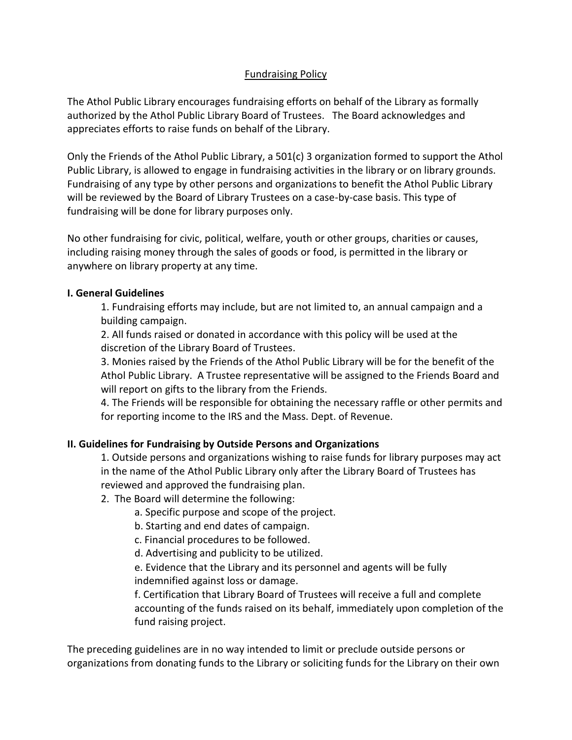## Fundraising Policy

The Athol Public Library encourages fundraising efforts on behalf of the Library as formally authorized by the Athol Public Library Board of Trustees. The Board acknowledges and appreciates efforts to raise funds on behalf of the Library.

Only the Friends of the Athol Public Library, a 501(c) 3 organization formed to support the Athol Public Library, is allowed to engage in fundraising activities in the library or on library grounds. Fundraising of any type by other persons and organizations to benefit the Athol Public Library will be reviewed by the Board of Library Trustees on a case-by-case basis. This type of fundraising will be done for library purposes only.

No other fundraising for civic, political, welfare, youth or other groups, charities or causes, including raising money through the sales of goods or food, is permitted in the library or anywhere on library property at any time.

## **I. General Guidelines**

1. Fundraising efforts may include, but are not limited to, an annual campaign and a building campaign.

2. All funds raised or donated in accordance with this policy will be used at the discretion of the Library Board of Trustees.

3. Monies raised by the Friends of the Athol Public Library will be for the benefit of the Athol Public Library. A Trustee representative will be assigned to the Friends Board and will report on gifts to the library from the Friends.

4. The Friends will be responsible for obtaining the necessary raffle or other permits and for reporting income to the IRS and the Mass. Dept. of Revenue.

## **II. Guidelines for Fundraising by Outside Persons and Organizations**

1. Outside persons and organizations wishing to raise funds for library purposes may act in the name of the Athol Public Library only after the Library Board of Trustees has reviewed and approved the fundraising plan.

## 2. The Board will determine the following:

a. Specific purpose and scope of the project.

b. Starting and end dates of campaign.

c. Financial procedures to be followed.

d. Advertising and publicity to be utilized.

e. Evidence that the Library and its personnel and agents will be fully indemnified against loss or damage.

f. Certification that Library Board of Trustees will receive a full and complete accounting of the funds raised on its behalf, immediately upon completion of the fund raising project.

The preceding guidelines are in no way intended to limit or preclude outside persons or organizations from donating funds to the Library or soliciting funds for the Library on their own